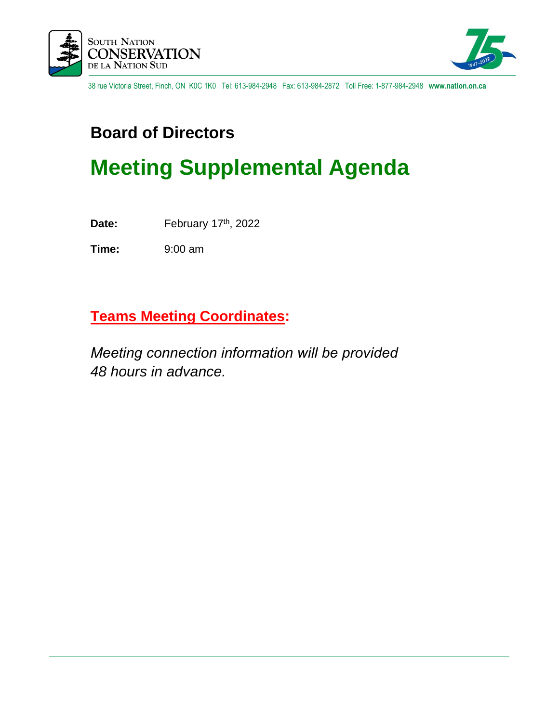



38 rue Victoria Street, Finch, ON K0C 1K0 Tel: 613-984-2948 Fax: 613-984-2872 Toll Free: 1-877-984-2948 **www.nation.on.ca**

### **Board of Directors**

## **Meeting Supplemental Agenda**

Date: February 17<sup>th</sup>, 2022

**Time:** 9:00 am

**Teams Meeting Coordinates:**    

*Meeting connection information will be provided  48 hours in advance.*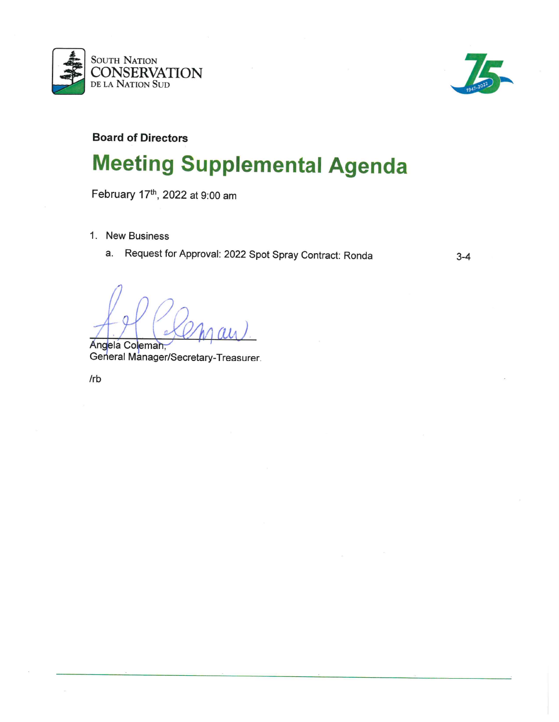



 $3 - 4$ 

**Board of Directors** 

# **Meeting Supplemental Agenda**

February 17th, 2022 at 9:00 am

- 1. New Business
	- a. Request for Approval: 2022 Spot Spray Contract: Ronda

Angela Coleman, General Manager/Secretary-Treasurer.

 $/rb$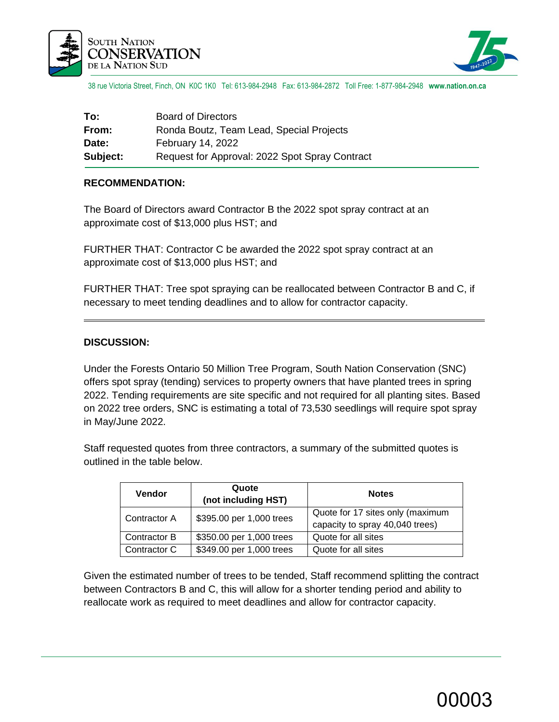



38 rue Victoria Street, Finch, ON K0C 1K0 Tel: 613-984-2948 Fax: 613-984-2872 Toll Free: 1-877-984-2948 **www.nation.on.ca**

| To:             | <b>Board of Directors</b>                      |
|-----------------|------------------------------------------------|
| From:           | Ronda Boutz, Team Lead, Special Projects       |
| Date:           | February 14, 2022                              |
| <b>Subject:</b> | Request for Approval: 2022 Spot Spray Contract |

#### **RECOMMENDATION:**

The Board of Directors award Contractor B the 2022 spot spray contract at an approximate cost of \$13,000 plus HST; and

FURTHER THAT: Contractor C be awarded the 2022 spot spray contract at an approximate cost of \$13,000 plus HST; and

FURTHER THAT: Tree spot spraying can be reallocated between Contractor B and C, if necessary to meet tending deadlines and to allow for contractor capacity.

#### **DISCUSSION:**

Under the Forests Ontario 50 Million Tree Program, South Nation Conservation (SNC) offers spot spray (tending) services to property owners that have planted trees in spring 2022. Tending requirements are site specific and not required for all planting sites. Based on 2022 tree orders, SNC is estimating a total of 73,530 seedlings will require spot spray in May/June 2022.

Staff requested quotes from three contractors, a summary of the submitted quotes is outlined in the table below.

| Vendor       | Quote<br>(not including HST) | <b>Notes</b>                                                        |
|--------------|------------------------------|---------------------------------------------------------------------|
| Contractor A | \$395.00 per 1,000 trees     | Quote for 17 sites only (maximum<br>capacity to spray 40,040 trees) |
| Contractor B | \$350.00 per 1,000 trees     | Quote for all sites                                                 |
| Contractor C | \$349.00 per 1,000 trees     | Quote for all sites                                                 |

Given the estimated number of trees to be tended, Staff recommend splitting the contract between Contractors B and C, this will allow for a shorter tending period and ability to reallocate work as required to meet deadlines and allow for contractor capacity.